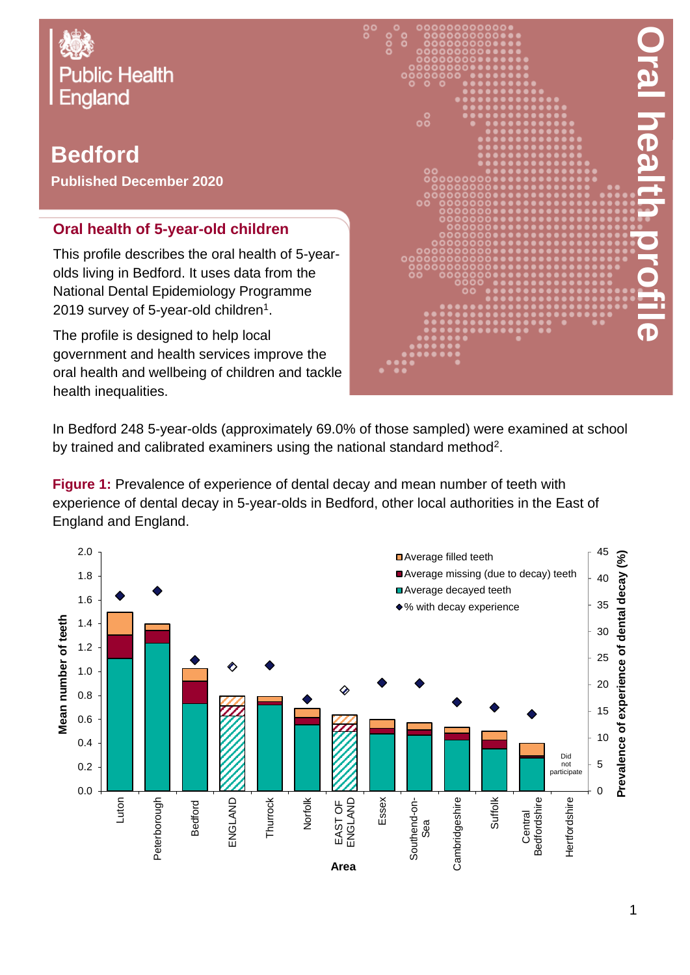

## **Bedford**

**Published December 2020**

## **Oral health of 5-year-old children**

This profile describes the oral health of 5-yearolds living in Bedford. It uses data from the National Dental Epidemiology Programme 2019 survey of 5-year-old children $^{\rm 1}.$ 

The profile is designed to help local government and health services improve the oral health and wellbeing of children and tackle health inequalities.



In Bedford 248 5-year-olds (approximately 69.0% of those sampled) were examined at school by trained and calibrated examiners using the national standard method<sup>2</sup>.

**Figure 1:** Prevalence of experience of dental decay and mean number of teeth with experience of dental decay in 5-year-olds in Bedford, other local authorities in the East of England and England.

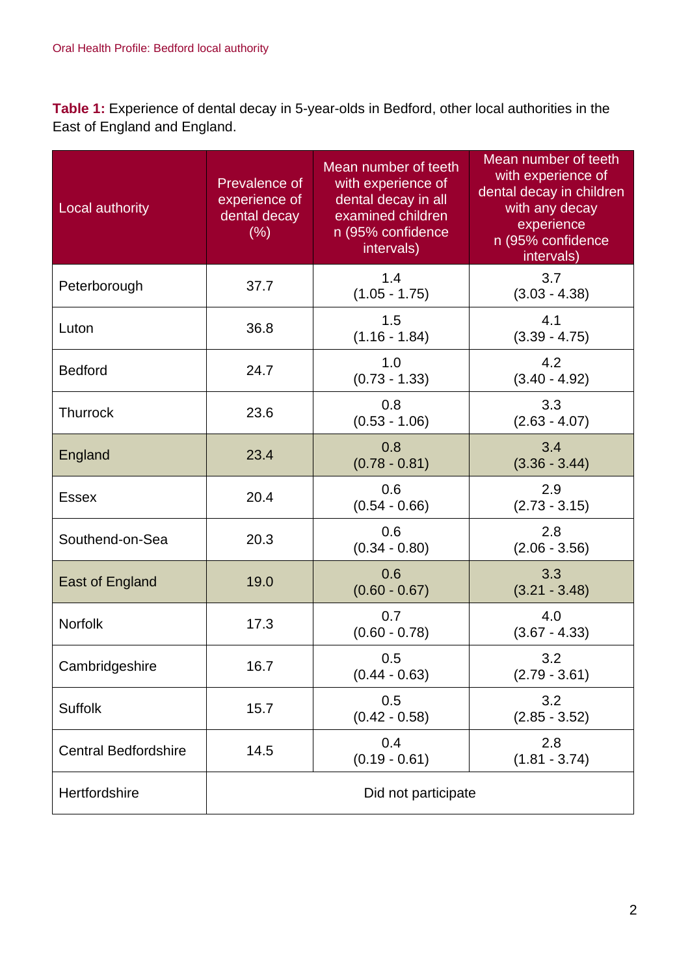**Table 1:** Experience of dental decay in 5-year-olds in Bedford, other local authorities in the East of England and England.

| Local authority             | Prevalence of<br>experience of<br>dental decay<br>(% ) | Mean number of teeth<br>with experience of<br>dental decay in all<br>examined children<br>n (95% confidence<br>intervals) | Mean number of teeth<br>with experience of<br>dental decay in children<br>with any decay<br>experience<br>n (95% confidence<br>intervals) |  |
|-----------------------------|--------------------------------------------------------|---------------------------------------------------------------------------------------------------------------------------|-------------------------------------------------------------------------------------------------------------------------------------------|--|
| Peterborough                | 37.7                                                   | 1.4<br>$(1.05 - 1.75)$                                                                                                    | 3.7<br>$(3.03 - 4.38)$                                                                                                                    |  |
| Luton                       | 36.8                                                   | 1.5<br>$(1.16 - 1.84)$                                                                                                    | 4.1<br>$(3.39 - 4.75)$                                                                                                                    |  |
| <b>Bedford</b>              | 24.7                                                   | 1.0<br>$(0.73 - 1.33)$                                                                                                    | 4.2<br>$(3.40 - 4.92)$                                                                                                                    |  |
| <b>Thurrock</b>             | 23.6                                                   | 0.8<br>$(0.53 - 1.06)$                                                                                                    | 3.3<br>$(2.63 - 4.07)$                                                                                                                    |  |
| England                     | 23.4                                                   | 0.8<br>$(0.78 - 0.81)$                                                                                                    | 3.4<br>$(3.36 - 3.44)$                                                                                                                    |  |
| <b>Essex</b>                | 20.4                                                   | 0.6<br>$(0.54 - 0.66)$                                                                                                    | 2.9<br>$(2.73 - 3.15)$                                                                                                                    |  |
| Southend-on-Sea             | 20.3                                                   | 0.6<br>$(0.34 - 0.80)$                                                                                                    | 2.8<br>$(2.06 - 3.56)$                                                                                                                    |  |
| <b>East of England</b>      | 19.0                                                   | 0.6<br>$(0.60 - 0.67)$                                                                                                    | 3.3<br>$(3.21 - 3.48)$                                                                                                                    |  |
| <b>Norfolk</b>              | 17.3                                                   | 0.7<br>$(0.60 - 0.78)$                                                                                                    | 4.0<br>$(3.67 - 4.33)$                                                                                                                    |  |
| Cambridgeshire              | 16.7                                                   | 0.5<br>$(0.44 - 0.63)$                                                                                                    | 3.2<br>$(2.79 - 3.61)$                                                                                                                    |  |
| <b>Suffolk</b>              | 15.7                                                   | 0.5<br>$(0.42 - 0.58)$                                                                                                    | 3.2<br>$(2.85 - 3.52)$                                                                                                                    |  |
| <b>Central Bedfordshire</b> | 14.5                                                   | 0.4<br>$(0.19 - 0.61)$                                                                                                    | 2.8<br>$(1.81 - 3.74)$                                                                                                                    |  |
| Hertfordshire               | Did not participate                                    |                                                                                                                           |                                                                                                                                           |  |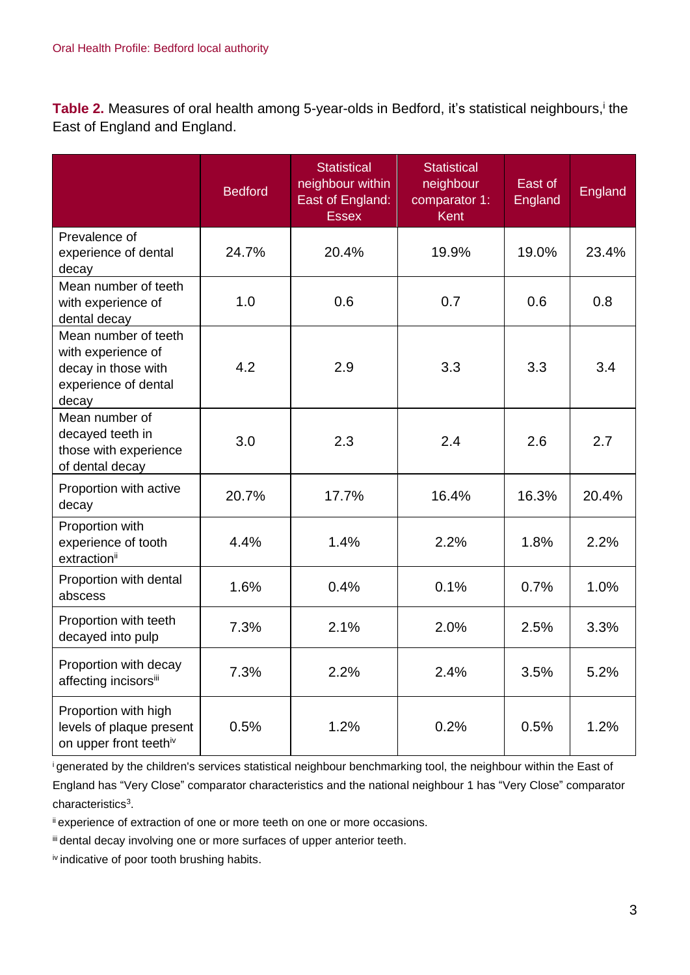Table 2. Measures of oral health among 5-year-olds in Bedford, it's statistical neighbours,<sup>i</sup> the East of England and England.

|                                                                                                    | <b>Bedford</b> | <b>Statistical</b><br>neighbour within<br>East of England:<br><b>Essex</b> | <b>Statistical</b><br>neighbour<br>comparator 1:<br><b>Kent</b> | East of<br>England | England |
|----------------------------------------------------------------------------------------------------|----------------|----------------------------------------------------------------------------|-----------------------------------------------------------------|--------------------|---------|
| Prevalence of<br>experience of dental<br>decay                                                     | 24.7%          | 20.4%                                                                      | 19.9%                                                           | 19.0%              | 23.4%   |
| Mean number of teeth<br>with experience of<br>dental decay                                         | 1.0            | 0.6                                                                        | 0.7                                                             | 0.6                | 0.8     |
| Mean number of teeth<br>with experience of<br>decay in those with<br>experience of dental<br>decay | 4.2            | 2.9                                                                        | 3.3                                                             | 3.3                | 3.4     |
| Mean number of<br>decayed teeth in<br>those with experience<br>of dental decay                     | 3.0            | 2.3                                                                        | 2.4                                                             | 2.6                | 2.7     |
| Proportion with active<br>decay                                                                    | 20.7%          | 17.7%                                                                      | 16.4%                                                           | 16.3%              | 20.4%   |
| Proportion with<br>experience of tooth<br>extractionii                                             | 4.4%           | 1.4%                                                                       | 2.2%                                                            | 1.8%               | 2.2%    |
| Proportion with dental<br>abscess                                                                  | 1.6%           | 0.4%                                                                       | 0.1%                                                            | 0.7%               | 1.0%    |
| Proportion with teeth<br>decayed into pulp                                                         | 7.3%           | 2.1%                                                                       | 2.0%                                                            | 2.5%               | 3.3%    |
| Proportion with decay<br>affecting incisorsii                                                      | 7.3%           | 2.2%                                                                       | 2.4%                                                            | 3.5%               | 5.2%    |
| Proportion with high<br>levels of plaque present<br>on upper front teethiv                         | 0.5%           | 1.2%                                                                       | 0.2%                                                            | 0.5%               | 1.2%    |

<sup>i</sup>generated by the children's services statistical neighbour benchmarking tool, the neighbour within the East of England has "Very Close" comparator characteristics and the national neighbour 1 has "Very Close" comparator characteristics<sup>3</sup>.

ii experience of extraction of one or more teeth on one or more occasions.

iii dental decay involving one or more surfaces of upper anterior teeth.

iv indicative of poor tooth brushing habits.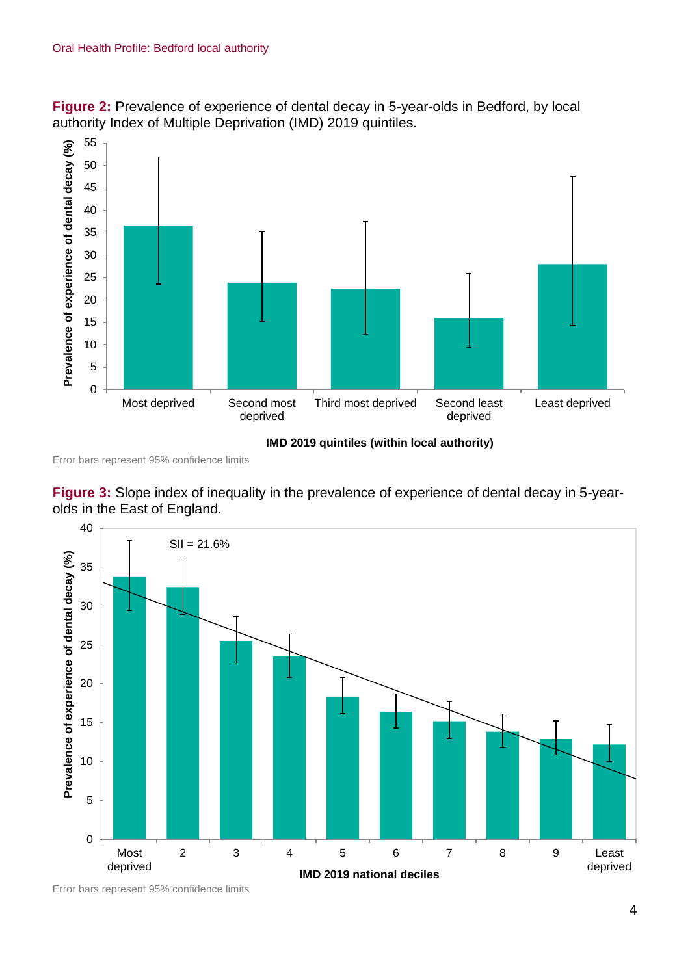

**Figure 2:** Prevalence of experience of dental decay in 5-year-olds in Bedford, by local authority Index of Multiple Deprivation (IMD) 2019 quintiles.

**IMD 2019 quintiles (within local authority)**

Error bars represent 95% confidence limits





Error bars represent 95% confidence limits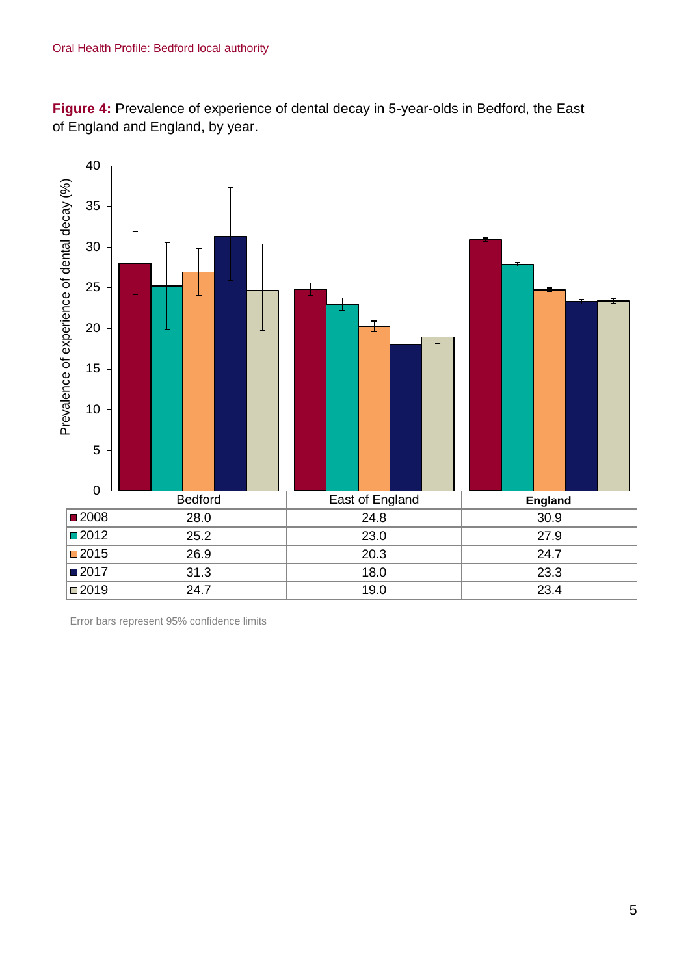**Figure 4:** Prevalence of experience of dental decay in 5-year-olds in Bedford, the East of England and England, by year.



Error bars represent 95% confidence limits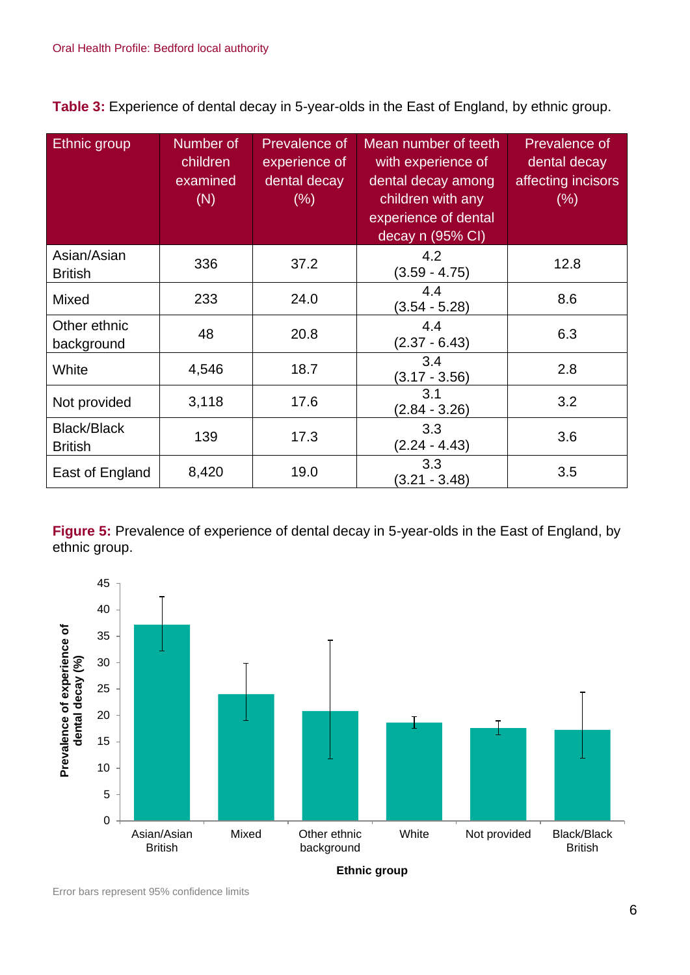**Table 3:** Experience of dental decay in 5-year-olds in the East of England, by ethnic group.

| Ethnic group                         | Number of<br>children<br>examined<br>(N) | Prevalence of<br>experience of<br>dental decay<br>$(\% )$ | Mean number of teeth<br>with experience of<br>dental decay among<br>children with any<br>experience of dental<br>decay n (95% CI) | Prevalence of<br>dental decay<br>affecting incisors<br>$(\% )$ |
|--------------------------------------|------------------------------------------|-----------------------------------------------------------|-----------------------------------------------------------------------------------------------------------------------------------|----------------------------------------------------------------|
| Asian/Asian<br><b>British</b>        | 336                                      | 37.2                                                      | 4.2<br>$(3.59 - 4.75)$                                                                                                            | 12.8                                                           |
| Mixed                                | 233                                      | 24.0                                                      | 4.4<br>$(3.54 - 5.28)$                                                                                                            | 8.6                                                            |
| Other ethnic<br>background           | 48                                       | 20.8                                                      | 4.4<br>$(2.37 - 6.43)$                                                                                                            | 6.3                                                            |
| White                                | 4,546                                    | 18.7                                                      | 3.4<br>$(3.17 - 3.56)$                                                                                                            | 2.8                                                            |
| Not provided                         | 3,118                                    | 17.6                                                      | 3.1<br>$(2.84 - 3.26)$                                                                                                            | 3.2                                                            |
| <b>Black/Black</b><br><b>British</b> | 139                                      | 17.3                                                      | 3.3<br>$(2.24 - 4.43)$                                                                                                            | 3.6                                                            |
| East of England                      | 8,420                                    | 19.0                                                      | 3.3<br>$(3.21 - 3.48)$                                                                                                            | 3.5                                                            |

**Figure 5:** Prevalence of experience of dental decay in 5-year-olds in the East of England, by ethnic group.



Error bars represent 95% confidence limits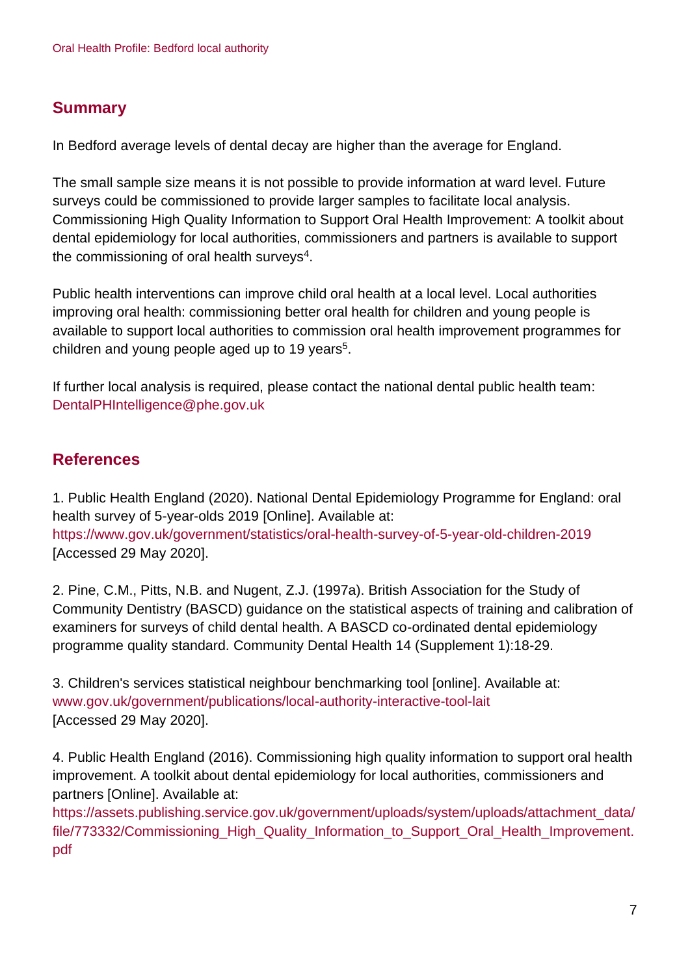## **Summary**

In Bedford average levels of dental decay are higher than the average for England.

The small sample size means it is not possible to provide information at ward level. Future surveys could be commissioned to provide larger samples to facilitate local analysis. Commissioning High Quality Information to Support Oral Health Improvement: A toolkit about dental epidemiology for local authorities, commissioners and partners is available to support the commissioning of oral health surveys $4$ .

Public health interventions can improve child oral health at a local level. Local authorities improving oral health: commissioning better oral health for children and young people is available to support local authorities to commission oral health improvement programmes for children and young people aged up to 19 years<sup>5</sup>.

If further local analysis is required, please contact the national dental public health team: DentalPHIntelligence@phe.gov.uk

## **References**

1. Public Health England (2020). National Dental Epidemiology Programme for England: oral health survey of 5-year-olds 2019 [Online]. Available at: <https://www.gov.uk/government/statistics/oral-health-survey-of-5-year-old-children-2019> [Accessed 29 May 2020].

2. Pine, C.M., Pitts, N.B. and Nugent, Z.J. (1997a). British Association for the Study of Community Dentistry (BASCD) guidance on the statistical aspects of training and calibration of examiners for surveys of child dental health. A BASCD co-ordinated dental epidemiology programme quality standard. Community Dental Health 14 (Supplement 1):18-29.

3. Children's services statistical neighbour benchmarking tool [online]. Available at: [www.gov.uk/government/publications/local-authority-interactive-tool-lait](http://www.gov.uk/government/publications/local-authority-interactive-tool-lait) [Accessed 29 May 2020].

4. Public Health England (2016). Commissioning high quality information to support oral health improvement. A toolkit about dental epidemiology for local authorities, commissioners and partners [Online]. Available at:

[https://assets.publishing.service.gov.uk/government/uploads/system/uploads/attachment\\_data/](https://assets.publishing.service.gov.uk/government/uploads/system/uploads/attachment_data/file/773332/Commissioning_High_Quality_Information_to_Support_Oral_Health_Improvement.pdf) file/773332/Commissioning High Quality Information to Support Oral Health Improvement. [pdf](https://assets.publishing.service.gov.uk/government/uploads/system/uploads/attachment_data/file/773332/Commissioning_High_Quality_Information_to_Support_Oral_Health_Improvement.pdf)